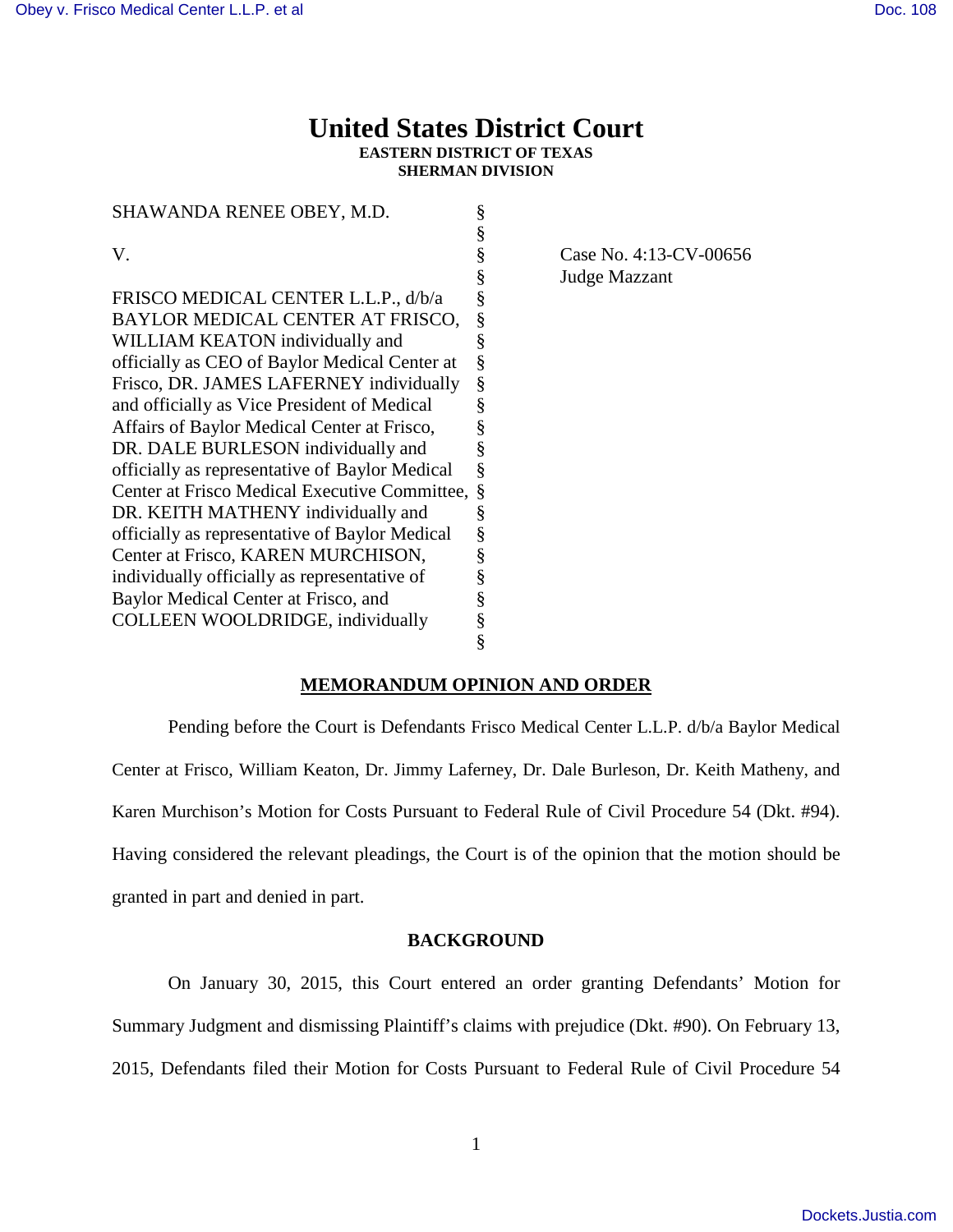# **United States District Court EASTERN DISTRICT OF TEXAS SHERMAN DIVISION**

| SHAWANDA RENEE OBEY, M.D.                      | §                |
|------------------------------------------------|------------------|
|                                                |                  |
| V.                                             |                  |
|                                                | S<br>S<br>S<br>S |
| FRISCO MEDICAL CENTER L.L.P., d/b/a            | §                |
| BAYLOR MEDICAL CENTER AT FRISCO,               | §                |
| WILLIAM KEATON individually and                |                  |
| officially as CEO of Baylor Medical Center at  |                  |
| Frisco, DR. JAMES LAFERNEY individually        |                  |
| and officially as Vice President of Medical    |                  |
| Affairs of Baylor Medical Center at Frisco,    | §                |
| DR. DALE BURLESON individually and             | §                |
| officially as representative of Baylor Medical | §                |
| Center at Frisco Medical Executive Committee,  | §                |
| DR. KEITH MATHENY individually and             | §                |
| officially as representative of Baylor Medical | §                |
| Center at Frisco, KAREN MURCHISON,             | §                |
| individually officially as representative of   | §                |
| Baylor Medical Center at Frisco, and           | §                |
| COLLEEN WOOLDRIDGE, individually               | §                |
|                                                | §                |

Case No. 4:13-CV-00656 Judge Mazzant

## **MEMORANDUM OPINION AND ORDER**

 Pending before the Court is Defendants Frisco Medical Center L.L.P. d/b/a Baylor Medical Center at Frisco, William Keaton, Dr. Jimmy Laferney, Dr. Dale Burleson, Dr. Keith Matheny, and Karen Murchison's Motion for Costs Pursuant to Federal Rule of Civil Procedure 54 (Dkt. #94). Having considered the relevant pleadings, the Court is of the opinion that the motion should be granted in part and denied in part.

### **BACKGROUND**

On January 30, 2015, this Court entered an order granting Defendants' Motion for Summary Judgment and dismissing Plaintiff's claims with prejudice (Dkt. #90). On February 13, 2015, Defendants filed their Motion for Costs Pursuant to Federal Rule of Civil Procedure 54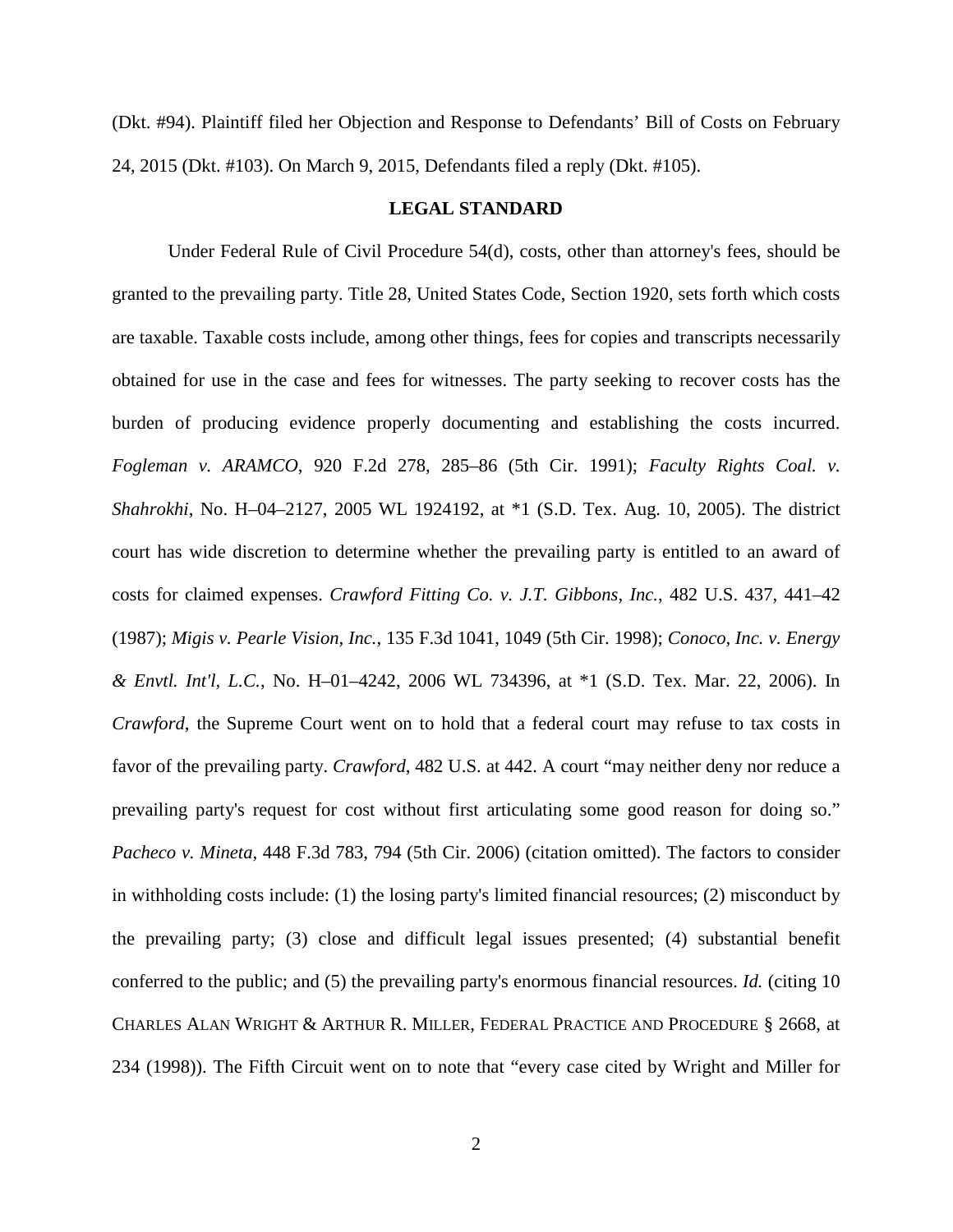(Dkt. #94). Plaintiff filed her Objection and Response to Defendants' Bill of Costs on February 24, 2015 (Dkt. #103). On March 9, 2015, Defendants filed a reply (Dkt. #105).

### **LEGAL STANDARD**

Under Federal Rule of Civil Procedure 54(d), costs, other than attorney's fees, should be granted to the prevailing party. Title 28, United States Code, Section 1920, sets forth which costs are taxable. Taxable costs include, among other things, fees for copies and transcripts necessarily obtained for use in the case and fees for witnesses. The party seeking to recover costs has the burden of producing evidence properly documenting and establishing the costs incurred. *Fogleman v. ARAMCO*, 920 F.2d 278, 285–86 (5th Cir. 1991); *Faculty Rights Coal. v. Shahrokhi*, No. H–04–2127, 2005 WL 1924192, at \*1 (S.D. Tex. Aug. 10, 2005). The district court has wide discretion to determine whether the prevailing party is entitled to an award of costs for claimed expenses. *Crawford Fitting Co. v. J.T. Gibbons, Inc.*, 482 U.S. 437, 441–42 (1987); *Migis v. Pearle Vision, Inc.*, 135 F.3d 1041, 1049 (5th Cir. 1998); *Conoco, Inc. v. Energy & Envtl. Int'l, L.C.*, No. H–01–4242, 2006 WL 734396, at \*1 (S.D. Tex. Mar. 22, 2006). In *Crawford*, the Supreme Court went on to hold that a federal court may refuse to tax costs in favor of the prevailing party. *Crawford*, 482 U.S. at 442. A court "may neither deny nor reduce a prevailing party's request for cost without first articulating some good reason for doing so." *Pacheco v. Mineta*, 448 F.3d 783, 794 (5th Cir. 2006) (citation omitted). The factors to consider in withholding costs include: (1) the losing party's limited financial resources; (2) misconduct by the prevailing party; (3) close and difficult legal issues presented; (4) substantial benefit conferred to the public; and (5) the prevailing party's enormous financial resources. *Id.* (citing 10 CHARLES ALAN WRIGHT & ARTHUR R. MILLER, FEDERAL PRACTICE AND PROCEDURE § 2668, at 234 (1998)). The Fifth Circuit went on to note that "every case cited by Wright and Miller for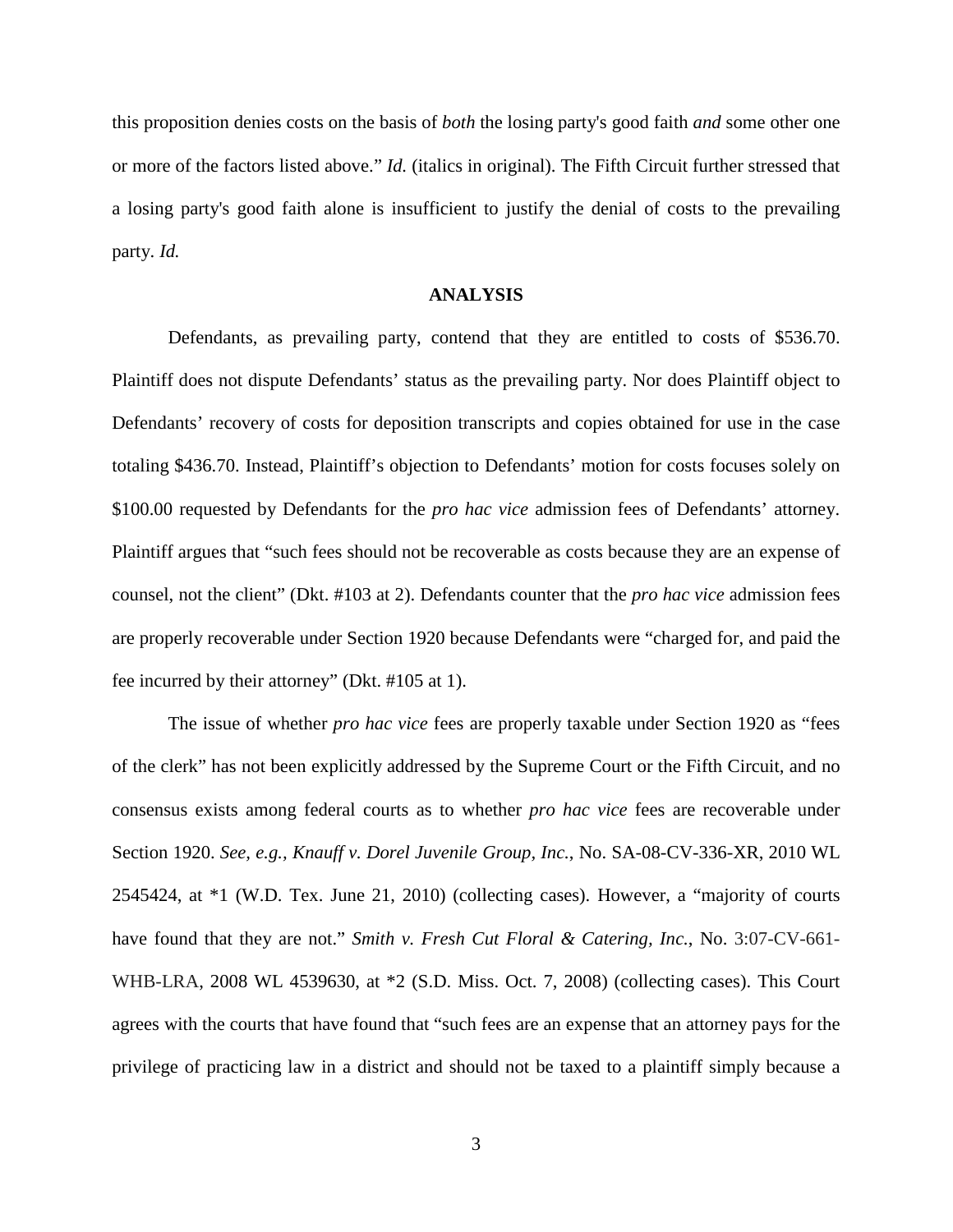this proposition denies costs on the basis of *both* the losing party's good faith *and* some other one or more of the factors listed above." *Id.* (italics in original). The Fifth Circuit further stressed that a losing party's good faith alone is insufficient to justify the denial of costs to the prevailing party. *Id.*

### **ANALYSIS**

 Defendants, as prevailing party, contend that they are entitled to costs of \$536.70. Plaintiff does not dispute Defendants' status as the prevailing party. Nor does Plaintiff object to Defendants' recovery of costs for deposition transcripts and copies obtained for use in the case totaling \$436.70. Instead, Plaintiff's objection to Defendants' motion for costs focuses solely on \$100.00 requested by Defendants for the *pro hac vice* admission fees of Defendants' attorney. Plaintiff argues that "such fees should not be recoverable as costs because they are an expense of counsel, not the client" (Dkt. #103 at 2). Defendants counter that the *pro hac vice* admission fees are properly recoverable under Section 1920 because Defendants were "charged for, and paid the fee incurred by their attorney" (Dkt. #105 at 1).

The issue of whether *pro hac vice* fees are properly taxable under Section 1920 as "fees of the clerk" has not been explicitly addressed by the Supreme Court or the Fifth Circuit, and no consensus exists among federal courts as to whether *pro hac vice* fees are recoverable under Section 1920. *See, e.g., Knauff v. Dorel Juvenile Group, Inc.*, No. SA-08-CV-336-XR, 2010 WL 2545424, at \*1 (W.D. Tex. June 21, 2010) (collecting cases). However, a "majority of courts have found that they are not." *Smith v. Fresh Cut Floral & Catering, Inc.*, No. 3:07-CV-661- WHB-LRA, 2008 WL 4539630, at \*2 (S.D. Miss. Oct. 7, 2008) (collecting cases). This Court agrees with the courts that have found that "such fees are an expense that an attorney pays for the privilege of practicing law in a district and should not be taxed to a plaintiff simply because a